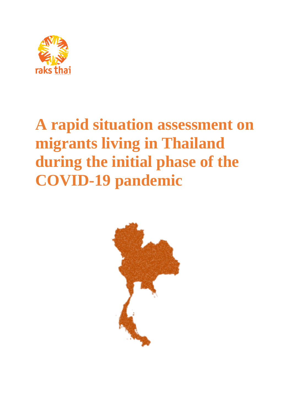

# **A rapid situation assessment on migrants living in Thailand during the initial phase of the COVID-19 pandemic**

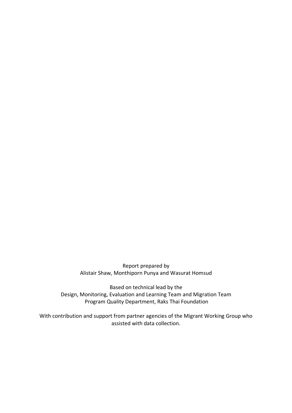Report prepared by Alistair Shaw, Monthiporn Punya and Wasurat Homsud

Based on technical lead by the Design, Monitoring, Evaluation and Learning Team and Migration Team Program Quality Department, Raks Thai Foundation

With contribution and support from partner agencies of the Migrant Working Group who assisted with data collection.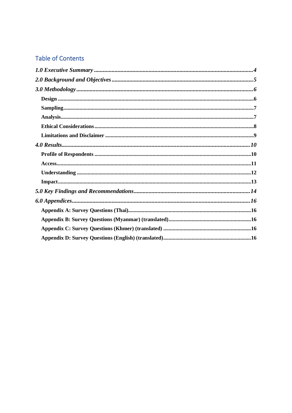# **Table of Contents**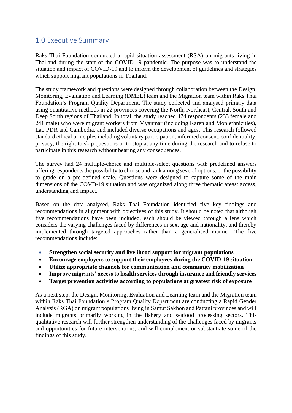# <span id="page-3-0"></span>1.0 Executive Summary

Raks Thai Foundation conducted a rapid situation assessment (RSA) on migrants living in Thailand during the start of the COVID-19 pandemic. The purpose was to understand the situation and impact of COVID-19 and to inform the development of guidelines and strategies which support migrant populations in Thailand.

The study framework and questions were designed through collaboration between the Design, Monitoring, Evaluation and Learning (DMEL) team and the Migration team within Raks Thai Foundation's Program Quality Department. The study collected and analysed primary data using quantitative methods in 22 provinces covering the North, Northeast, Central, South and Deep South regions of Thailand. In total, the study reached 474 respondents (233 female and 241 male) who were migrant workers from Myanmar (including Karen and Mon ethnicities), Lao PDR and Cambodia, and included diverse occupations and ages. This research followed standard ethical principles including voluntary participation, informed consent, confidentiality, privacy, the right to skip questions or to stop at any time during the research and to refuse to participate in this research without bearing any consequences.

The survey had 24 multiple-choice and multiple-select questions with predefined answers offering respondents the possibility to choose and rank among several options, or the possibility to grade on a pre-defined scale. Questions were designed to capture some of the main dimensions of the COVD-19 situation and was organized along three thematic areas: access, understanding and impact.

Based on the data analysed, Raks Thai Foundation identified five key findings and recommendations in alignment with objectives of this study. It should be noted that although five recommendations have been included, each should be viewed through a lens which considers the varying challenges faced by differences in sex, age and nationality, and thereby implemented through targeted approaches rather than a generalised manner. The five recommendations include:

- **Strengthen social security and livelihood support for migrant populations**
- **Encourage employers to support their employees during the COVID-19 situation**
- **Utilize appropriate channels for communication and community mobilization**
- **Improve migrants' access to health services through insurance and friendly services**
- **Target prevention activities according to populations at greatest risk of exposure**

As a next step, the Design, Monitoring, Evaluation and Learning team and the Migration team within Raks Thai Foundation's Program Quality Department are conducting a Rapid Gender Analysis (RGA) on migrant populations living in Samut Sakhon and Pattani provinces and will include migrants primarily working in the fishery and seafood processing sectors. This qualitative research will further strengthen understanding of the challenges faced by migrants and opportunities for future interventions, and will complement or substantiate some of the findings of this study.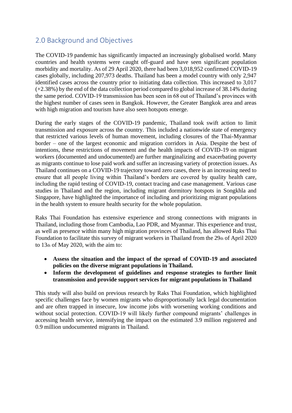# <span id="page-4-0"></span>2.0 Background and Objectives

The COVID-19 pandemic has significantly impacted an increasingly globalised world. Many countries and health systems were caught off-guard and have seen significant population morbidity and mortality. As of 29 April 2020, there had been 3,018,952 confirmed COVID-19 cases globally, including 207,973 deaths. Thailand has been a model country with only 2,947 identified cases across the country prior to initiating data collection. This increased to 3,017 (+2.38%) by the end of the data collection period compared to global increase of 38.14% during the same period. COVID-19 transmission has been seen in 68 out of Thailand's provinces with the highest number of cases seen in Bangkok. However, the Greater Bangkok area and areas with high migration and tourism have also seen hotspots emerge.

During the early stages of the COVID-19 pandemic, Thailand took swift action to limit transmission and exposure across the country. This included a nationwide state of emergency that restricted various levels of human movement, including closures of the Thai-Myanmar border – one of the largest economic and migration corridors in Asia. Despite the best of intentions, these restrictions of movement and the health impacts of COVID-19 on migrant workers (documented and undocumented) are further marginalizing and exacerbating poverty as migrants continue to lose paid work and suffer an increasing variety of protection issues. As Thailand continues on a COVID-19 trajectory toward zero cases, there is an increasing need to ensure that all people living within Thailand's borders are covered by quality health care, including the rapid testing of COVID-19, contact tracing and case management. Various case studies in Thailand and the region, including migrant dormitory hotspots in Songkhla and Singapore, have highlighted the importance of including and prioritizing migrant populations in the health system to ensure health security for the whole population.

Raks Thai Foundation has extensive experience and strong connections with migrants in Thailand, including those from Cambodia, Lao PDR, and Myanmar. This experience and trust, as well as presence within many high migration provinces of Thailand, has allowed Raks Thai Foundation to facilitate this survey of migrant workers in Thailand from the 29th of April 2020 to 13th of May 2020, with the aim to:

- **Assess the situation and the impact of the spread of COVID-19 and associated policies on the diverse migrant populations in Thailand.**
- **Inform the development of guidelines and response strategies to further limit transmission and provide support services for migrant populations in Thailand**

This study will also build on previous research by Raks Thai Foundation, which highlighted specific challenges face by women migrants who disproportionally lack legal documentation and are often trapped in insecure, low income jobs with worsening working conditions and without social protection. COVID-19 will likely further compound migrants' challenges in accessing health service, intensifying the impact on the estimated 3.9 million registered and 0.9 million undocumented migrants in Thailand.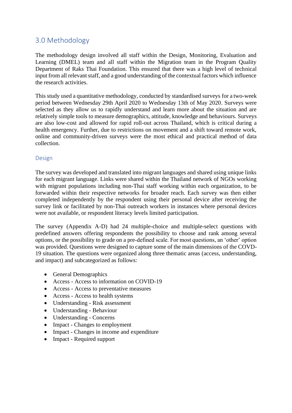# <span id="page-5-0"></span>3.0 Methodology

The methodology design involved all staff within the Design, Monitoring, Evaluation and Learning (DMEL) team and all staff within the Migration team in the Program Quality Department of Raks Thai Foundation. This ensured that there was a high level of technical input from all relevant staff, and a good understanding of the contextual factors which influence the research activities.

This study used a quantitative methodology, conducted by standardised surveys for a two-week period between Wednesday 29th April 2020 to Wednesday 13th of May 2020. Surveys were selected as they allow us to rapidly understand and learn more about the situation and are relatively simple tools to measure demographics, attitude, knowledge and behaviours. Surveys are also low-cost and allowed for rapid roll-out across Thailand, which is critical during a health emergency. Further, due to restrictions on movement and a shift toward remote work, online and community-driven surveys were the most ethical and practical method of data collection.

## <span id="page-5-1"></span>Design

The survey was developed and translated into migrant languages and shared using unique links for each migrant language. Links were shared within the Thailand network of NGOs working with migrant populations including non-Thai staff working within each organization, to be forwarded within their respective networks for broader reach. Each survey was then either completed independently by the respondent using their personal device after receiving the survey link or facilitated by non-Thai outreach workers in instances where personal devices were not available, or respondent literacy levels limited participation.

The survey (Appendix A-D) had 24 multiple-choice and multiple-select questions with predefined answers offering respondents the possibility to choose and rank among several options, or the possibility to grade on a pre-defined scale. For most questions, an 'other' option was provided. Questions were designed to capture some of the main dimensions of the COVD-19 situation. The questions were organized along three thematic areas (access, understanding, and impact) and subcategorized as follows:

- General Demographics
- Access Access to information on COVID-19
- Access Access to preventative measures
- Access Access to health systems
- Understanding Risk assessment
- Understanding Behaviour
- Understanding Concerns
- Impact Changes to employment
- Impact Changes in income and expenditure
- Impact Required support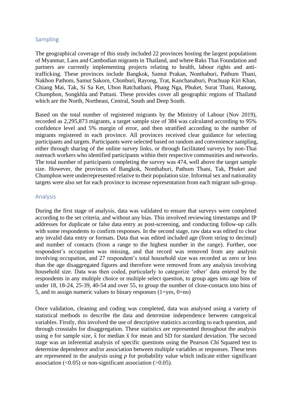#### <span id="page-6-0"></span>Sampling

The geographical coverage of this study included 22 provinces hosting the largest populations of Myanmar, Laos and Cambodian migrants in Thailand, and where Raks Thai Foundation and partners are currently implementing projects relating to health, labour rights and antitrafficking. These provinces include Bangkok, Samut Prakan, Nonthaburi, Pathum Thani, Nakhon Pathom, Samut Sakorn, Chonburi, Rayong, Trat, Kanchanaburi, Prachuap Kiri Khan, Chiang Mai, Tak, Si Sa Ket, Ubon Ratchathani, Phang Nga, Phuket, Surat Thani, Ranong, Chumphon, Songkhla and Pattani. These provides cover all geographic regions of Thailand which are the North, Northeast, Central, South and Deep South.

Based on the total number of registered migrants by the Ministry of Labour (Nov 2019), recorded as 2,295,873 migrants, a target sample size of 384 was calculated according to 95% confidence level and 5% margin of error, and then stratified according to the number of migrants registered in each province. All provinces received clear guidance for selecting participants and targets. Participants were selected based on random and convenience sampling, either through sharing of the online survey links, or through facilitated surveys by non-Thai outreach workers who identified participants within their respective communities and networks. The total number of participants completing the survey was 474, well above the target sample size. However, the provinces of Bangkok, Nonthaburi, Pathum Thani, Tak, Phuket and Chumphon were underrepresented relative to their population size. Informal sex and nationality targets were also set for each province to increase representation from each migrant sub-group.

#### <span id="page-6-1"></span>Analysis

During the first stage of analysis, data was validated to ensure that surveys were completed according to the set criteria, and without any bias. This involved reviewing timestamps and IP addresses for duplicate or false data entry as post-screening, and conducting follow-up calls with some respondents to confirm responses. In the second stage, raw data was edited to clear any invalid data entry or formats. Data that was edited included age (from string to decimal) and number of contacts (from a range to the highest number in the range). Further, one respondent's occupation was missing, and that record was removed from any analysis involving occupation, and 27 respondent's total household size was recorded as zero or less than the age disaggregated figures and therefore were removed from any analysis involving household size. Data was then coded, particularly to categorize 'other' data entered by the respondents in any multiple choice or multiple select question, to group ages into age bins of under 18, 18-24, 25-39, 40-54 and over 55, to group the number of close-contacts into bins of 5, and to assign numeric values to binary responses  $(1 = yes, 0 = no)$ 

Once validation, cleaning and coding was completed, data was analysed using a variety of statistical methods to describe the data and determine independence between categorical variables. Firstly, this involved the use of descriptive statistics according to each question, and through crosstabs for disaggregation. These statistics are represented throughout the analysis using *n* for sample size,  $\tilde{x}$  for median  $\bar{x}$  for mean and SD for standard deviation. The second stage was an inferential analysis of specific questions using the Pearson Chi Squared test to determine dependence and/or association between multiple variables or responses. These tests are represented in the analysis using *p* for probability value which indicate either significant association  $\left($ <0.05) or non-significant association  $\left($ >0.05).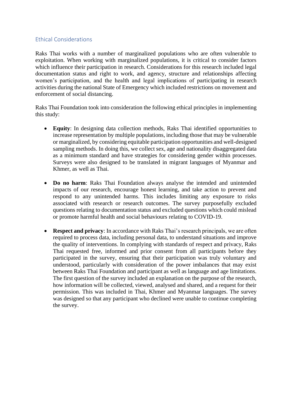## <span id="page-7-0"></span>Ethical Considerations

Raks Thai works with a number of marginalized populations who are often vulnerable to exploitation. When working with marginalized populations, it is critical to consider factors which influence their participation in research. Considerations for this research included legal documentation status and right to work, and agency, structure and relationships affecting women's participation, and the health and legal implications of participating in research activities during the national State of Emergency which included restrictions on movement and enforcement of social distancing.

Raks Thai Foundation took into consideration the following ethical principles in implementing this study:

- **Equity**: In designing data collection methods, Raks Thai identified opportunities to increase representation by multiple populations, including those that may be vulnerable or marginalized, by considering equitable participation opportunities and well-designed sampling methods. In doing this, we collect sex, age and nationality disaggregated data as a minimum standard and have strategies for considering gender within processes. Surveys were also designed to be translated in migrant languages of Myanmar and Khmer, as well as Thai.
- **Do no harm**: Raks Thai Foundation always analyse the intended and unintended impacts of our research, encourage honest learning, and take action to prevent and respond to any unintended harms. This includes limiting any exposure to risks associated with research or research outcomes. The survey purposefully excluded questions relating to documentation status and excluded questions which could mislead or promote harmful health and social behaviours relating to COVID-19.
- **Respect and privacy**: In accordance with Raks Thai's research principals, we are often required to process data, including personal data, to understand situations and improve the quality of interventions. In complying with standards of respect and privacy, Raks Thai requested free, informed and prior consent from all participants before they participated in the survey, ensuring that their participation was truly voluntary and understood, particularly with consideration of the power imbalances that may exist between Raks Thai Foundation and participant as well as language and age limitations. The first question of the survey included an explanation on the purpose of the research, how information will be collected, viewed, analysed and shared, and a request for their permission. This was included in Thai, Khmer and Myanmar languages. The survey was designed so that any participant who declined were unable to continue completing the survey.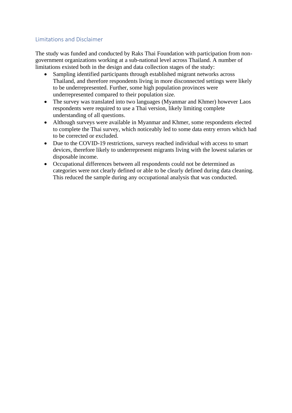## <span id="page-8-0"></span>Limitations and Disclaimer

The study was funded and conducted by Raks Thai Foundation with participation from nongovernment organizations working at a sub-national level across Thailand. A number of limitations existed both in the design and data collection stages of the study:

- Sampling identified participants through established migrant networks across Thailand, and therefore respondents living in more disconnected settings were likely to be underrepresented. Further, some high population provinces were underrepresented compared to their population size.
- The survey was translated into two languages (Myanmar and Khmer) however Laos respondents were required to use a Thai version, likely limiting complete understanding of all questions.
- Although surveys were available in Myanmar and Khmer, some respondents elected to complete the Thai survey, which noticeably led to some data entry errors which had to be corrected or excluded.
- Due to the COVID-19 restrictions, surveys reached individual with access to smart devices, therefore likely to underrepresent migrants living with the lowest salaries or disposable income.
- Occupational differences between all respondents could not be determined as categories were not clearly defined or able to be clearly defined during data cleaning. This reduced the sample during any occupational analysis that was conducted.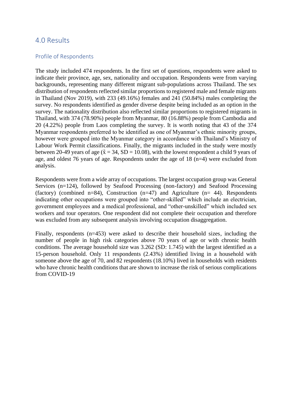# <span id="page-9-0"></span>4.0 Results

#### <span id="page-9-1"></span>Profile of Respondents

The study included 474 respondents. In the first set of questions, respondents were asked to indicate their province, age, sex, nationality and occupation. Respondents were from varying backgrounds, representing many different migrant sub-populations across Thailand. The sex distribution of respondents reflected similar proportions to registered male and female migrants in Thailand (Nov 2019), with 233 (49.16%) females and 241 (50.84%) males completing the survey. No respondents identified as gender diverse despite being included as an option in the survey. The nationality distribution also reflected similar proportions to registered migrants in Thailand, with 374 (78.90%) people from Myanmar, 80 (16.88%) people from Cambodia and 20 (4.22%) people from Laos completing the survey. It is worth noting that 43 of the 374 Myanmar respondents preferred to be identified as one of Myanmar's ethnic minority groups, however were grouped into the Myanmar category in accordance with Thailand's Ministry of Labour Work Permit classifications. Finally, the migrants included in the study were mostly between 20-49 years of age ( $\tilde{x} = 34$ , SD = 10.08), with the lowest respondent a child 9 years of age, and oldest 76 years of age. Respondents under the age of 18 (n=4) were excluded from analysis.

Respondents were from a wide array of occupations. The largest occupation group was General Services (n=124), followed by Seafood Processing (non-factory) and Seafood Processing (factory) (combined n=84), Construction  $(n=47)$  and Agriculture  $(n= 44)$ . Respondents indicating other occupations were grouped into "other-skilled" which include an electrician, government employees and a medical professional, and "other-unskilled" which included sex workers and tour operators. One respondent did not complete their occupation and therefore was excluded from any subsequent analysis involving occupation disaggregation.

Finally, respondents (n=453) were asked to describe their household sizes, including the number of people in high risk categories above 70 years of age or with chronic health conditions. The average household size was 3.262 (SD: 1.745) with the largest identified as a 15-person household. Only 11 respondents (2.43%) identified living in a household with someone above the age of 70, and 82 respondents (18.10%) lived in households with residents who have chronic health conditions that are shown to increase the risk of serious complications from COVID-19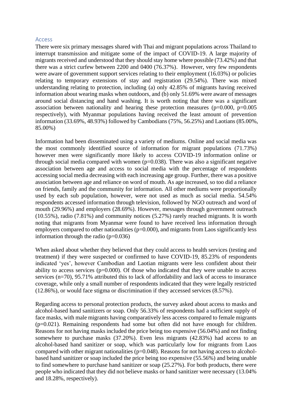#### <span id="page-10-0"></span>Access

There were six primary messages shared with Thai and migrant populations across Thailand to interrupt transmission and mitigate some of the impact of COVID-19. A large majority of migrants received and understood that they should stay home where possible (73.42%) and that there was a strict curfew between 2200 and 0400 (76.37%). However, very few respondents were aware of government support services relating to their employment (16.03%) or policies relating to temporary extensions of stay and registration (29.54%). There was mixed understanding relating to protection, including (a) only 42.85% of migrants having received information about wearing masks when outdoors, and (b) only 51.69% were aware of messages around social distancing and hand washing. It is worth noting that there was a significant association between nationality and hearing these protection measures  $(p=0.000, p=0.005)$ respectively), with Myanmar populations having received the least amount of prevention information (33.69%, 48.93%) followed by Cambodians (75%, 56.25%) and Laotians (85.00%, 85.00%)

Information had been disseminated using a variety of mediums. Online and social media was the most commonly identified source of information for migrant populations (71.73%) however men were significantly more likely to access COVID-19 information online or through social media compared with women  $(p=0.038)$ . There was also a significant negative association between age and access to social media with the percentage of respondents accessing social media decreasing with each increasing age group. Further, there was a positive association between age and reliance on word of mouth. As age increased, so too did a reliance on friends, family and the community for information. All other mediums were proportionally used by each sub population, however, were not used as much as social media. 54.54% respondents accessed information through television, followed by NGO outreach and word of mouth (29.96%) and employers (28.69%). However, messages through government outreach (10.55%), radio (7.81%) and community notices (5.27%) rarely reached migrants. It is worth noting that migrants from Myanmar were found to have received less information through employers compared to other nationalities ( $p=0.000$ ), and migrants from Laos significantly less information through the radio  $(p=0.036)$ 

When asked about whether they believed that they could access to health services (testing and treatment) if they were suspected or confirmed to have COVID-19, 85.23% of respondents indicated 'yes', however Cambodian and Laotian migrants were less confident about their ability to access services  $(p=0.000)$ . Of those who indicated that they were unable to access services (n=70), 95.71% attributed this to lack of affordability and lack of access to insurance coverage, while only a small number of respondents indicated that they were legally restricted (12.86%), or would face stigma or discrimination if they accessed services (8.57%).

Regarding access to personal protection products, the survey asked about access to masks and alcohol-based hand sanitizers or soap. Only 56.33% of respondents had a sufficient supply of face masks, with male migrants having comparatively less access compared to female migrants (p=0.021). Remaining respondents had some but often did not have enough for children. Reasons for not having masks included the price being too expensive (56.04%) and not finding somewhere to purchase masks (37.20%). Even less migrants (42.83%) had access to an alcohol-based hand sanitizer or soap, which was particularly low for migrants from Laos compared with other migrant nationalities (p=0.048). Reasons for not having access to alcoholbased hand sanitizer or soap included the price being too expensive (55.56%) and being unable to find somewhere to purchase hand sanitizer or soap (25.27%). For both products, there were people who indicated that they did not believe masks or hand sanitizer were necessary (13.04% and 18.28%, respectively).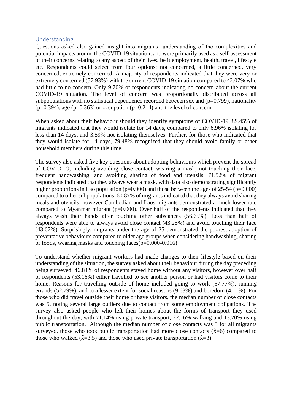#### <span id="page-11-0"></span>Understanding

Questions asked also gained insight into migrants' understanding of the complexities and potential impacts around the COVID-19 situation, and were primarily used as a self-assessment of their concerns relating to any aspect of their lives, be it employment, health, travel, lifestyle etc. Respondents could select from four options; not concerned, a little concerned, very concerned, extremely concerned. A majority of respondents indicated that they were very or extremely concerned (57.93%) with the current COVID-19 situation compared to 42.07% who had little to no concern. Only 9.70% of respondents indicating no concern about the current COVID-19 situation. The level of concern was proportionally distributed across all subpopulations with no statistical dependence recorded between sex and  $(p=0.799)$ , nationality  $(p=0.394)$ , age  $(p=0.363)$  or occupation  $(p=0.214)$  and the level of concern.

When asked about their behaviour should they identify symptoms of COVID-19, 89.45% of migrants indicated that they would isolate for 14 days, compared to only 6.96% isolating for less than 14 days, and 3.59% not isolating themselves. Further, for those who indicated that they would isolate for 14 days, 79.48% recognized that they should avoid family or other household members during this time.

The survey also asked five key questions about adopting behaviours which prevent the spread of COVID-19, including avoiding close contact, wearing a mask, not touching their face, frequent handwashing, and avoiding sharing of food and utensils. 71.52% of migrant respondents indicated that they always wear a mask, with data also demonstrating significantly higher proportions in Lao population ( $p=0.000$ ) and those between the ages of 25-54 ( $p=0.000$ ) compared to other subpopulations. 60.87% of migrants indicated that they always avoid sharing meals and utensils, however Cambodian and Laos migrants demonstrated a much lower rate compared to Myanmar migrant ( $p=0.000$ ). Over half of the respondents indicated that they always wash their hands after touching other substances (56.65%). Less than half of respondents were able to always avoid close contact (43.25%) and avoid touching their face (43.67%). Surprisingly, migrants under the age of 25 demonstrated the poorest adoption of preventative behaviours compared to older age groups when considering handwashing, sharing of foods, wearing masks and touching faces(p=0.000-0.016)

To understand whether migrant workers had made changes to their lifestyle based on their understanding of the situation, the survey asked about their behaviour during the day preceding being surveyed. 46.84% of respondents stayed home without any visitors, however over half of respondents (53.16%) either travelled to see another person or had visitors come to their home. Reasons for travelling outside of home included going to work (57.77%), running errands (52.79%), and to a lesser extent for social reasons (9.68%) and boredom (4.11%). For those who did travel outside their home or have visitors, the median number of close contacts was 5, noting several large outliers due to contact from some employment obligations. The survey also asked people who left their homes about the forms of transport they used throughout the day, with 71.14% using private transport, 22.16% walking and 13.70% using public transportation. Although the median number of close contacts was 5 for all migrants surveyed, those who took public transportation had more close contacts ( $\tilde{x}=6$ ) compared to those who walked ( $\tilde{x}$ =3.5) and those who used private transportation ( $\tilde{x}$ =3).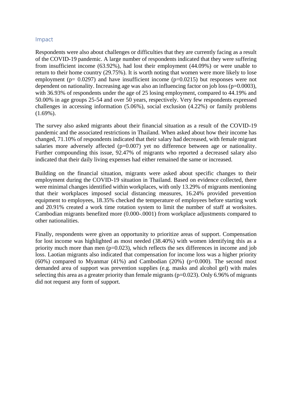#### <span id="page-12-0"></span>Impact

Respondents were also about challenges or difficulties that they are currently facing as a result of the COVID-19 pandemic. A large number of respondents indicated that they were suffering from insufficient income (63.92%), had lost their employment (44.09%) or were unable to return to their home country (29.75%). It is worth noting that women were more likely to lose employment ( $p= 0.0297$ ) and have insufficient income ( $p=0.0215$ ) but responses were not dependent on nationality. Increasing age was also an influencing factor on job loss ( $p=0.0003$ ), with 36.93% of respondents under the age of 25 losing employment, compared to 44.19% and 50.00% in age groups 25-54 and over 50 years, respectively. Very few respondents expressed challenges in accessing information (5.06%), social exclusion (4.22%) or family problems (1.69%).

The survey also asked migrants about their financial situation as a result of the COVID-19 pandemic and the associated restrictions in Thailand. When asked about how their income has changed, 71.10% of respondents indicated that their salary had decreased, with female migrant salaries more adversely affected (p=0.007) yet no difference between age or nationality. Further compounding this issue, 92.47% of migrants who reported a decreased salary also indicated that their daily living expenses had either remained the same or increased.

Building on the financial situation, migrants were asked about specific changes to their employment during the COVID-19 situation in Thailand. Based on evidence collected, there were minimal changes identified within workplaces, with only 13.29% of migrants mentioning that their workplaces imposed social distancing measures, 16.24% provided prevention equipment to employees, 18.35% checked the temperature of employees before starting work and 20.91% created a work time rotation system to limit the number of staff at worksites. Cambodian migrants benefited more (0.000-.0001) from workplace adjustments compared to other nationalities.

Finally, respondents were given an opportunity to prioritize areas of support. Compensation for lost income was highlighted as most needed (38.40%) with women identifying this as a priority much more than men  $(p=0.023)$ , which reflects the sex differences in income and job loss. Laotian migrants also indicated that compensation for income loss was a higher priority  $(60\%)$  compared to Myanmar  $(41\%)$  and Cambodian  $(20\%)$  (p=0.000). The second most demanded area of support was prevention supplies (e.g. masks and alcohol gel) with males selecting this area as a greater priority than female migrants ( $p=0.023$ ). Only 6.96% of migrants did not request any form of support.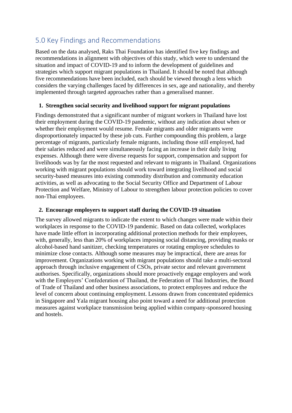# <span id="page-13-0"></span>5.0 Key Findings and Recommendations

Based on the data analysed, Raks Thai Foundation has identified five key findings and recommendations in alignment with objectives of this study, which were to understand the situation and impact of COVID-19 and to inform the development of guidelines and strategies which support migrant populations in Thailand. It should be noted that although five recommendations have been included, each should be viewed through a lens which considers the varying challenges faced by differences in sex, age and nationality, and thereby implemented through targeted approaches rather than a generalised manner.

## **1. Strengthen social security and livelihood support for migrant populations**

Findings demonstrated that a significant number of migrant workers in Thailand have lost their employment during the COVID-19 pandemic, without any indication about when or whether their employment would resume. Female migrants and older migrants were disproportionately impacted by these job cuts. Further compounding this problem, a large percentage of migrants, particularly female migrants, including those still employed, had their salaries reduced and were simultaneously facing an increase in their daily living expenses. Although there were diverse requests for support, compensation and support for livelihoods was by far the most requested and relevant to migrants in Thailand. Organizations working with migrant populations should work toward integrating livelihood and social security-based measures into existing commodity distribution and community education activities, as well as advocating to the Social Security Office and Department of Labour Protection and Welfare, Ministry of Labour to strengthen labour protection policies to cover non-Thai employees.

## **2. Encourage employers to support staff during the COVID-19 situation**

The survey allowed migrants to indicate the extent to which changes were made within their workplaces in response to the COVID-19 pandemic. Based on data collected, workplaces have made little effort in incorporating additional protection methods for their employees, with, generally, less than 20% of workplaces imposing social distancing, providing masks or alcohol-based hand sanitizer, checking temperatures or rotating employee schedules to minimize close contacts. Although some measures may be impractical, there are areas for improvement. Organizations working with migrant populations should take a multi-sectoral approach through inclusive engagement of CSOs, private sector and relevant government authorises. Specifically, organizations should more proactively engage employers and work with the Employers' Confederation of Thailand, the Federation of Thai Industries, the Board of Trade of Thailand and other business associations, to protect employees and reduce the level of concern about continuing employment. Lessons drawn from concentrated epidemics in Singapore and Yala migrant housing also point toward a need for additional protection measures against workplace transmission being applied within company-sponsored housing and hostels.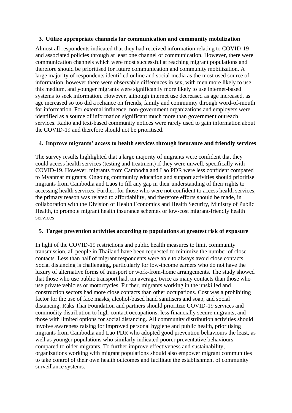#### **3. Utilize appropriate channels for communication and community mobilization**

Almost all respondents indicated that they had received information relating to COVID-19 and associated policies through at least one channel of communication. However, there were communication channels which were most successful at reaching migrant populations and therefore should be prioritised for future communication and community mobilization. A large majority of respondents identified online and social media as the most used source of information, however there were observable differences in sex, with men more likely to use this medium, and younger migrants were significantly more likely to use internet-based systems to seek information. However, although internet use decreased as age increased, as age increased so too did a reliance on friends, family and community through word-of-mouth for information. For external influence, non-government organizations and employers were identified as a source of information significant much more than government outreach services. Radio and text-based community notices were rarely used to gain information about the COVID-19 and therefore should not be prioritised.

### **4. Improve migrants' access to health services through insurance and friendly services**

The survey results highlighted that a large majority of migrants were confident that they could access health services (testing and treatment) if they were unwell, specifically with COVID-19. However, migrants from Cambodia and Lao PDR were less confident compared to Myanmar migrants. Ongoing community education and support activities should prioritise migrants from Cambodia and Laos to fill any gap in their understanding of their rights to accessing health services. Further, for those who were not confident to access health services, the primary reason was related to affordability, and therefore efforts should be made, in collaboration with the Division of Health Economics and Health Security, Ministry of Public Health, to promote migrant health insurance schemes or low-cost migrant-friendly health services

#### **5. Target prevention activities according to populations at greatest risk of exposure**

In light of the COVID-19 restrictions and public health measures to limit community transmission, all people in Thailand have been requested to minimize the number of closecontacts. Less than half of migrant respondents were able to always avoid close contacts. Social distancing is challenging, particularly for low-income earners who do not have the luxury of alternative forms of transport or work-from-home arrangements. The study showed that those who use public transport had, on average, twice as many contacts than those who use private vehicles or motorcycles. Further, migrants working in the unskilled and construction sectors had more close contacts than other occupations. Cost was a prohibiting factor for the use of face masks, alcohol-based hand sanitisers and soap, and social distancing. Raks Thai Foundation and partners should prioritize COVID-19 services and commodity distribution to high-contact occupations, less financially secure migrants, and those with limited options for social distancing. All community distribution activities should involve awareness raising for improved personal hygiene and public health, prioritising migrants from Cambodia and Lao PDR who adopted good prevention behaviours the least, as well as younger populations who similarly indicated poorer preventative behaviours compared to older migrants. To further improve effectiveness and sustainability, organizations working with migrant populations should also empower migrant communities to take control of their own health outcomes and facilitate the establishment of community surveillance systems.